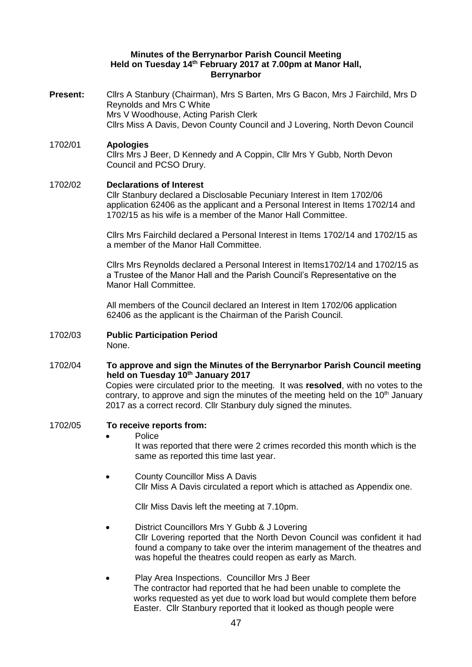### **Minutes of the Berrynarbor Parish Council Meeting Held on Tuesday 14 th February 2017 at 7.00pm at Manor Hall, Berrynarbor**

- **Present:** Cllrs A Stanbury (Chairman), Mrs S Barten, Mrs G Bacon, Mrs J Fairchild, Mrs D Reynolds and Mrs C White Mrs V Woodhouse, Acting Parish Clerk Cllrs Miss A Davis, Devon County Council and J Lovering, North Devon Council
- 1702/01 **Apologies**  Cllrs Mrs J Beer, D Kennedy and A Coppin, Cllr Mrs Y Gubb, North Devon Council and PCSO Drury.

### 1702/02 **Declarations of Interest**

Cllr Stanbury declared a Disclosable Pecuniary Interest in Item 1702/06 application 62406 as the applicant and a Personal Interest in Items 1702/14 and 1702/15 as his wife is a member of the Manor Hall Committee.

Cllrs Mrs Fairchild declared a Personal Interest in Items 1702/14 and 1702/15 as a member of the Manor Hall Committee.

Cllrs Mrs Reynolds declared a Personal Interest in Items1702/14 and 1702/15 as a Trustee of the Manor Hall and the Parish Council's Representative on the Manor Hall Committee.

All members of the Council declared an Interest in Item 1702/06 application 62406 as the applicant is the Chairman of the Parish Council.

1702/03 **Public Participation Period**  None.

1702/04 **To approve and sign the Minutes of the Berrynarbor Parish Council meeting held on Tuesday 10th January 2017** Copies were circulated prior to the meeting. It was **resolved**, with no votes to the

contrary, to approve and sign the minutes of the meeting held on the  $10<sup>th</sup>$  January 2017 as a correct record. Cllr Stanbury duly signed the minutes.

- 1702/05 **To receive reports from:** 
	- Police

It was reported that there were 2 crimes recorded this month which is the same as reported this time last year.

 County Councillor Miss A Davis Cllr Miss A Davis circulated a report which is attached as Appendix one.

Cllr Miss Davis left the meeting at 7.10pm.

- District Councillors Mrs Y Gubb & J Lovering Cllr Lovering reported that the North Devon Council was confident it had found a company to take over the interim management of the theatres and was hopeful the theatres could reopen as early as March.
- Play Area Inspections. Councillor Mrs J Beer The contractor had reported that he had been unable to complete the works requested as yet due to work load but would complete them before Easter. Cllr Stanbury reported that it looked as though people were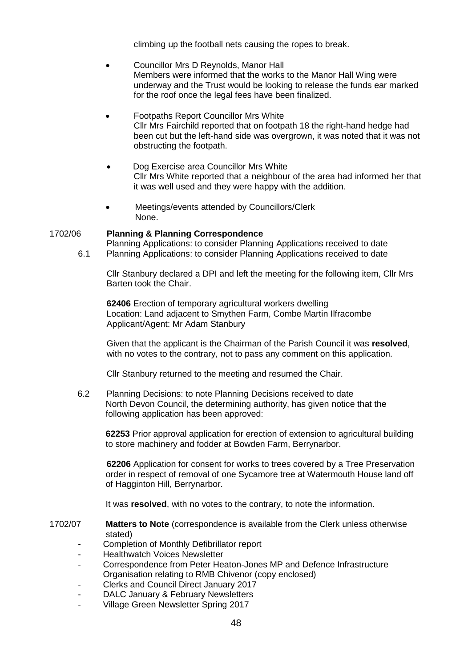climbing up the football nets causing the ropes to break.

- Councillor Mrs D Reynolds, Manor Hall Members were informed that the works to the Manor Hall Wing were underway and the Trust would be looking to release the funds ear marked for the roof once the legal fees have been finalized.
- Footpaths Report Councillor Mrs White Cllr Mrs Fairchild reported that on footpath 18 the right-hand hedge had been cut but the left-hand side was overgrown, it was noted that it was not obstructing the footpath.
- Dog Exercise area Councillor Mrs White Cllr Mrs White reported that a neighbour of the area had informed her that it was well used and they were happy with the addition.
- Meetings/events attended by Councillors/Clerk None.

# 1702/06 **Planning & Planning Correspondence**

Planning Applications: to consider Planning Applications received to date 6.1 Planning Applications: to consider Planning Applications received to date

Cllr Stanbury declared a DPI and left the meeting for the following item, Cllr Mrs Barten took the Chair.

**62406** Erection of temporary agricultural workers dwelling Location: Land adjacent to Smythen Farm, Combe Martin Ilfracombe Applicant/Agent: Mr Adam Stanbury

Given that the applicant is the Chairman of the Parish Council it was **resolved**, with no votes to the contrary, not to pass any comment on this application.

Cllr Stanbury returned to the meeting and resumed the Chair.

6.2 Planning Decisions: to note Planning Decisions received to date North Devon Council, the determining authority, has given notice that the following application has been approved:

**62253** Prior approval application for erection of extension to agricultural building to store machinery and fodder at Bowden Farm, Berrynarbor.

**62206** Application for consent for works to trees covered by a Tree Preservation order in respect of removal of one Sycamore tree at Watermouth House land off of Hagginton Hill, Berrynarbor.

It was **resolved**, with no votes to the contrary, to note the information.

- 1702/07 **Matters to Note** (correspondence is available from the Clerk unless otherwise stated)
	- Completion of Monthly Defibrillator report
	- Healthwatch Voices Newsletter
	- Correspondence from Peter Heaton-Jones MP and Defence Infrastructure Organisation relating to RMB Chivenor (copy enclosed)
	- Clerks and Council Direct January 2017
	- DALC January & February Newsletters
	- Village Green Newsletter Spring 2017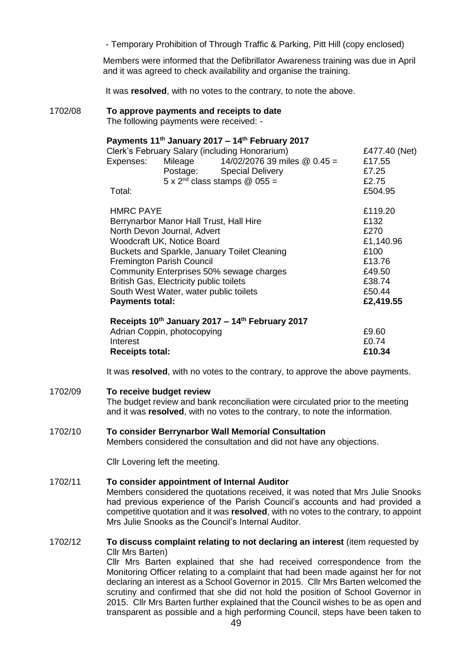- Temporary Prohibition of Through Traffic & Parking, Pitt Hill (copy enclosed)

Members were informed that the Defibrillator Awareness training was due in April and it was agreed to check availability and organise the training.

It was **resolved**, with no votes to the contrary, to note the above.

1702/08 **To approve payments and receipts to date**  The following payments were received: -

## **Payments 11th January 2017 – 14th February 2017**

| Clerk's February Salary (including Honorarium)                                 |                                        |                                        | £477.40 (Net) |
|--------------------------------------------------------------------------------|----------------------------------------|----------------------------------------|---------------|
| Expenses:                                                                      |                                        | Mileage $14/02/207639$ miles $@0.45 =$ | £17.55        |
|                                                                                | Postage: Special Delivery              |                                        | £7.25         |
|                                                                                | $5 \times 2^{nd}$ class stamps @ 055 = |                                        | £2.75         |
| Total:                                                                         |                                        |                                        | £504.95       |
|                                                                                |                                        |                                        |               |
| <b>HMRC PAYE</b>                                                               |                                        |                                        | £119.20       |
| Berrynarbor Manor Hall Trust, Hall Hire                                        |                                        |                                        | £132          |
| North Devon Journal, Advert                                                    |                                        |                                        | £270          |
| Woodcraft UK, Notice Board                                                     |                                        |                                        | £1,140.96     |
| Buckets and Sparkle, January Toilet Cleaning                                   |                                        |                                        | £100          |
| <b>Fremington Parish Council</b>                                               |                                        |                                        | £13.76        |
| Community Enterprises 50% sewage charges                                       |                                        |                                        | £49.50        |
| British Gas, Electricity public toilets                                        |                                        |                                        | £38.74        |
| South West Water, water public toilets                                         |                                        |                                        | £50.44        |
| <b>Payments total:</b>                                                         |                                        |                                        | £2,419.55     |
|                                                                                |                                        |                                        |               |
| Receipts 10th January 2017 - 14th February 2017<br>Adrian Coppin, photocopying |                                        |                                        | £9.60         |
|                                                                                |                                        |                                        |               |

It was **resolved**, with no votes to the contrary, to approve the above payments.

Interest  $£0.74$ **Receipts total: £10.34**

### 1702/09 **To receive budget review**

The budget review and bank reconciliation were circulated prior to the meeting and it was **resolved**, with no votes to the contrary, to note the information.

### 1702/10 **To consider Berrynarbor Wall Memorial Consultation**

Members considered the consultation and did not have any objections.

Cllr Lovering left the meeting.

## 1702/11 **To consider appointment of Internal Auditor**

Members considered the quotations received, it was noted that Mrs Julie Snooks had previous experience of the Parish Council's accounts and had provided a competitive quotation and it was **resolved**, with no votes to the contrary, to appoint Mrs Julie Snooks as the Council's Internal Auditor.

1702/12 **To discuss complaint relating to not declaring an interest** (item requested by Cllr Mrs Barten)

Cllr Mrs Barten explained that she had received correspondence from the Monitoring Officer relating to a complaint that had been made against her for not declaring an interest as a School Governor in 2015. Cllr Mrs Barten welcomed the scrutiny and confirmed that she did not hold the position of School Governor in 2015. Cllr Mrs Barten further explained that the Council wishes to be as open and transparent as possible and a high performing Council, steps have been taken to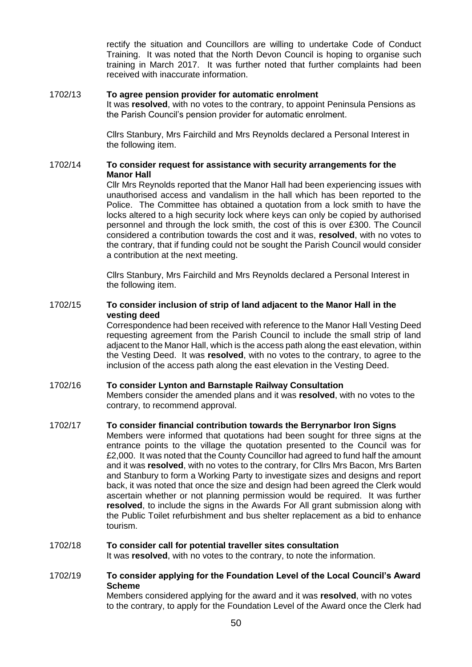rectify the situation and Councillors are willing to undertake Code of Conduct Training. It was noted that the North Devon Council is hoping to organise such training in March 2017. It was further noted that further complaints had been received with inaccurate information.

### 1702/13 **To agree pension provider for automatic enrolment**

It was **resolved**, with no votes to the contrary, to appoint Peninsula Pensions as the Parish Council's pension provider for automatic enrolment.

Cllrs Stanbury, Mrs Fairchild and Mrs Reynolds declared a Personal Interest in the following item.

## 1702/14 **To consider request for assistance with security arrangements for the Manor Hall**

Cllr Mrs Reynolds reported that the Manor Hall had been experiencing issues with unauthorised access and vandalism in the hall which has been reported to the Police. The Committee has obtained a quotation from a lock smith to have the locks altered to a high security lock where keys can only be copied by authorised personnel and through the lock smith, the cost of this is over £300. The Council considered a contribution towards the cost and it was, **resolved**, with no votes to the contrary, that if funding could not be sought the Parish Council would consider a contribution at the next meeting.

Cllrs Stanbury, Mrs Fairchild and Mrs Reynolds declared a Personal Interest in the following item.

### 1702/15 **To consider inclusion of strip of land adjacent to the Manor Hall in the vesting deed**

Correspondence had been received with reference to the Manor Hall Vesting Deed requesting agreement from the Parish Council to include the small strip of land adjacent to the Manor Hall, which is the access path along the east elevation, within the Vesting Deed. It was **resolved**, with no votes to the contrary, to agree to the inclusion of the access path along the east elevation in the Vesting Deed.

# 1702/16 **To consider Lynton and Barnstaple Railway Consultation**

Members consider the amended plans and it was **resolved**, with no votes to the contrary, to recommend approval.

### 1702/17 **To consider financial contribution towards the Berrynarbor Iron Signs**

Members were informed that quotations had been sought for three signs at the entrance points to the village the quotation presented to the Council was for £2,000. It was noted that the County Councillor had agreed to fund half the amount and it was **resolved**, with no votes to the contrary, for Cllrs Mrs Bacon, Mrs Barten and Stanbury to form a Working Party to investigate sizes and designs and report back, it was noted that once the size and design had been agreed the Clerk would ascertain whether or not planning permission would be required. It was further **resolved**, to include the signs in the Awards For All grant submission along with the Public Toilet refurbishment and bus shelter replacement as a bid to enhance tourism.

### 1702/18 **To consider call for potential traveller sites consultation**

It was **resolved**, with no votes to the contrary, to note the information.

## 1702/19 **To consider applying for the Foundation Level of the Local Council's Award Scheme**

Members considered applying for the award and it was **resolved**, with no votes to the contrary, to apply for the Foundation Level of the Award once the Clerk had